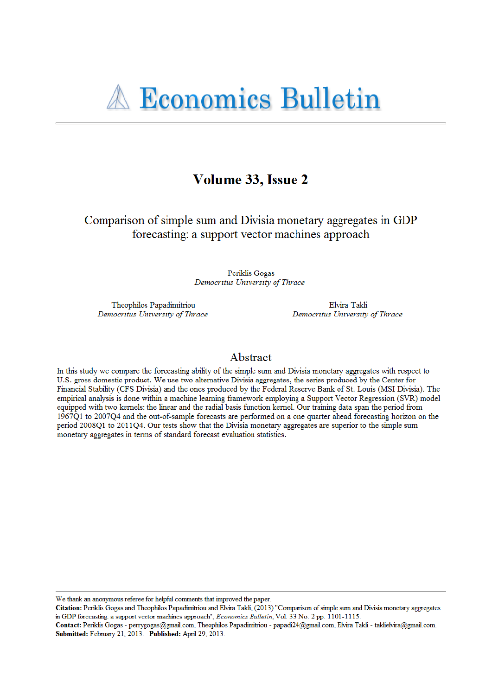# Volume 33, Issue 2

Comparison of simple sum and Divisia monetary aggregates in GDP forecasting: a support vector machines approach

> Periklis Gogas Democritus University of Thrace

Theophilos Papadimitriou Democritus University of Thrace

Elvira Takli Democritus University of Thrace

# Abstract

In this study we compare the forecasting ability of the simple sum and Divisia monetary aggregates with respect to U.S. gross domestic product. We use two alternative Divisia aggregates, the series produced by the Center for Financial Stability (CFS Divisia) and the ones produced by the Federal Reserve Bank of St. Louis (MSI Divisia). The empirical analysis is done within a machine learning framework employing a Support Vector Regression (SVR) model equipped with two kernels: the linear and the radial basis function kernel. Our training data span the period from 1967Q1 to 2007Q4 and the out-of-sample forecasts are performed on a one quarter ahead forecasting horizon on the period 2008Q1 to 2011Q4. Our tests show that the Divisia monetary aggregates are superior to the simple sum monetary aggregates in terms of standard forecast evaluation statistics.

We thank an anonymous referee for helpful comments that improved the paper.

Citation: Periklis Gogas and Theophilos Papadimitriou and Elvira Takli, (2013) "Comparison of simple sum and Divisia monetary aggregates in GDP forecasting: a support vector machines approach", Economics Bulletin, Vol. 33 No. 2 pp. 1101-1115.

Contact: Periklis Gogas - perrygogas@gmail.com, Theophilos Papadimitriou - papadi24@gmail.com, Elvira Takli - taklielvira@gmail.com. Submitted: February 21, 2013. Published: April 29, 2013.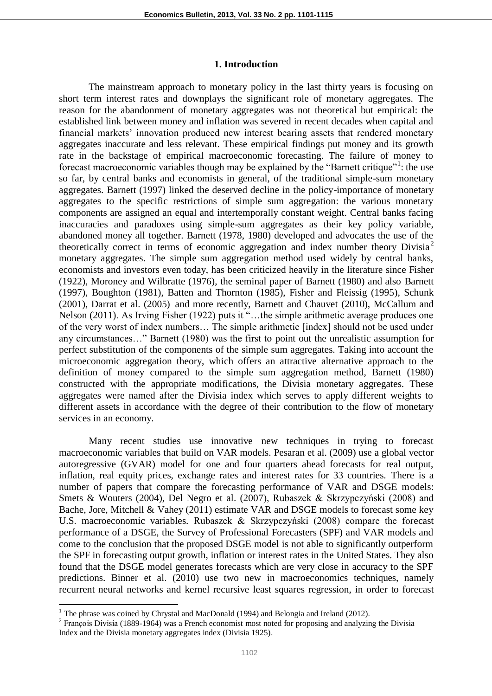#### **1. Introduction**

The mainstream approach to monetary policy in the last thirty years is focusing on short term interest rates and downplays the significant role of monetary aggregates. The reason for the abandonment of monetary aggregates was not theoretical but empirical: the established link between money and inflation was severed in recent decades when capital and financial markets' innovation produced new interest bearing assets that rendered monetary aggregates inaccurate and less relevant. These empirical findings put money and its growth rate in the backstage of empirical macroeconomic forecasting. The failure of money to forecast macroeconomic variables though may be explained by the "Barnett critique"<sup>1</sup>: the use so far, by central banks and economists in general, of the traditional simple-sum monetary aggregates. Barnett (1997) linked the deserved decline in the policy-importance of monetary aggregates to the specific restrictions of simple sum aggregation: the various monetary components are assigned an equal and intertemporally constant weight. Central banks facing inaccuracies and paradoxes using simple-sum aggregates as their key policy variable, abandoned money all together. Barnett (1978, 1980) developed and advocates the use of the theoretically correct in terms of economic aggregation and index number theory Divisia<sup>2</sup> monetary aggregates. The simple sum aggregation method used widely by central banks, economists and investors even today, has been criticized heavily in the literature since Fisher (1922), Moroney and Wilbratte (1976), the seminal paper of Barnett (1980) and also Barnett (1997), Boughton (1981), Batten and Thornton (1985), Fisher and Fleissig (1995), Schunk (2001), Darrat et al. (2005) and more recently, Barnett and Chauvet (2010), McCallum and Nelson (2011). As Irving Fisher (1922) puts it "…the simple arithmetic average produces one of the very worst of index numbers… The simple arithmetic [index] should not be used under any circumstances…" Barnett (1980) was the first to point out the unrealistic assumption for perfect substitution of the components of the simple sum aggregates. Taking into account the microeconomic aggregation theory, which offers an attractive alternative approach to the definition of money compared to the simple sum aggregation method, Barnett (1980) constructed with the appropriate modifications, the Divisia monetary aggregates. These aggregates were named after the Divisia index which serves to apply different weights to different assets in accordance with the degree of their contribution to the flow of monetary services in an economy.

Many recent studies use innovative new techniques in trying to forecast macroeconomic variables that build on VAR models. Pesaran et al. (2009) use a global vector autoregressive (GVAR) model for one and four quarters ahead forecasts for real output, inflation, real equity prices, exchange rates and interest rates for 33 countries. There is a number of papers that compare the forecasting performance of VAR and DSGE models: Smets & Wouters (2004), Del Negro et al. (2007), Rubaszek & Skrzypczyński (2008) and Bache, Jore, Mitchell & Vahey (2011) estimate VAR and DSGE models to forecast some key U.S. macroeconomic variables. Rubaszek & Skrzypczyński (2008) compare the forecast performance of a DSGE, the Survey of Professional Forecasters (SPF) and VAR models and come to the conclusion that the proposed DSGE model is not able to significantly outperform the SPF in forecasting output growth, inflation or interest rates in the United States. They also found that the DSGE model generates forecasts which are very close in accuracy to the SPF predictions. Binner et al. (2010) use two new in macroeconomics techniques, namely recurrent neural networks and kernel recursive least squares regression, in order to forecast

 $\overline{a}$ 

<sup>&</sup>lt;sup>1</sup> The phrase was coined by Chrystal and MacDonald (1994) and Belongia and Ireland (2012).

<sup>&</sup>lt;sup>2</sup> François Divisia (1889-1964) was a French economist most noted for proposing and analyzing the Divisia Index and the Divisia monetary aggregates index (Divisia 1925).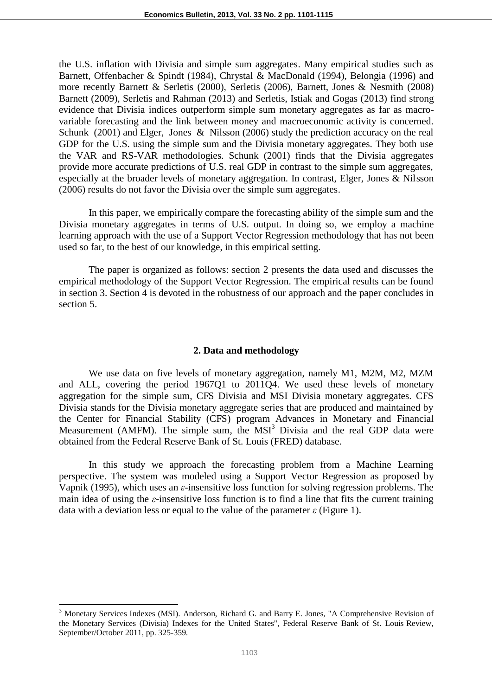the U.S. inflation with Divisia and simple sum aggregates. Many empirical studies such as Barnett, Offenbacher & Spindt (1984), Chrystal & MacDonald (1994), Belongia (1996) and more recently Barnett & Serletis (2000), Serletis (2006), Barnett, Jones & Nesmith (2008) Barnett (2009), Serletis and Rahman (2013) and Serletis, Istiak and Gogas (2013) find strong evidence that Divisia indices outperform simple sum monetary aggregates as far as macrovariable forecasting and the link between money and macroeconomic activity is concerned. Schunk (2001) and Elger, Jones & Nilsson (2006) study the prediction accuracy on the real GDP for the U.S. using the simple sum and the Divisia monetary aggregates. They both use the VAR and RS-VAR methodologies. Schunk (2001) finds that the Divisia aggregates provide more accurate predictions of U.S. real GDP in contrast to the simple sum aggregates, especially at the broader levels of monetary aggregation. In contrast, Elger, Jones & Nilsson (2006) results do not favor the Divisia over the simple sum aggregates.

In this paper, we empirically compare the forecasting ability of the simple sum and the Divisia monetary aggregates in terms of U.S. output. In doing so, we employ a machine learning approach with the use of a Support Vector Regression methodology that has not been used so far, to the best of our knowledge, in this empirical setting.

The paper is organized as follows: section 2 presents the data used and discusses the empirical methodology of the Support Vector Regression. The empirical results can be found in section 3. Section 4 is devoted in the robustness of our approach and the paper concludes in section 5.

## **2. Data and methodology**

We use data on five levels of monetary aggregation, namely M1, M2M, M2, MZM and ALL, covering the period 1967Q1 to 2011Q4. We used these levels of monetary aggregation for the simple sum, CFS Divisia and MSI Divisia monetary aggregates. CFS Divisia stands for the Divisia monetary aggregate series that are produced and maintained by the Center for Financial Stability (CFS) program Advances in Monetary and Financial Measurement (AMFM). The simple sum, the  $MSI<sup>3</sup>$  Divisia and the real GDP data were obtained from the Federal Reserve Bank of St. Louis (FRED) database.

In this study we approach the forecasting problem from a Machine Learning perspective. The system was modeled using a Support Vector Regression as proposed by Vapnik (1995), which uses an *ε*-insensitive loss function for solving regression problems. The main idea of using the  $\varepsilon$ -insensitive loss function is to find a line that fits the current training data with a deviation less or equal to the value of the parameter  $\varepsilon$  (Figure 1).

 $\overline{a}$ 

<sup>&</sup>lt;sup>3</sup> Monetary Services Indexes (MSI). Anderson, Richard G. and Barry E. Jones, "A Comprehensive Revision of the Monetary Services (Divisia) Indexes for the United States", Federal Reserve Bank of St. Louis Review, September/October 2011, pp. 325-359.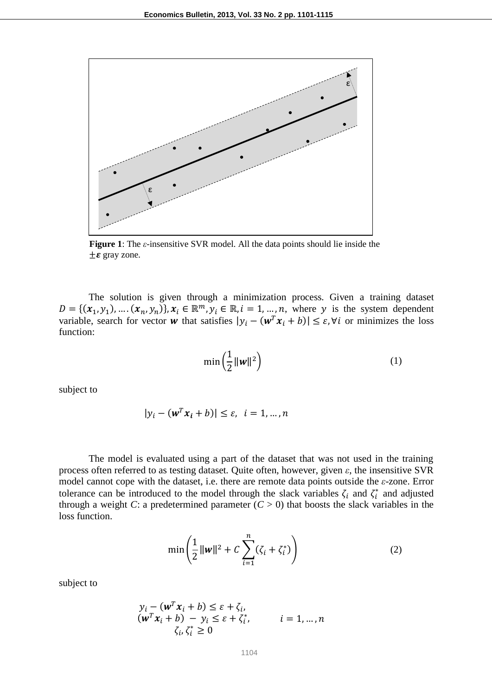

**Figure 1**: The *ε*-insensitive SVR model. All the data points should lie inside the  $\pm \varepsilon$  gray zone.

The solution is given through a minimization process. Given a training dataset  $D = \{ (x_1, y_1), \dots, (x_n, y_n) \}, x_i \in \mathbb{R}^m, y_i \in \mathbb{R}, i = 1, \dots, n$ , where y is the system dependent variable, search for vector w that satisfies  $|y_i - (w^T x_i + b)| \le \varepsilon$ ,  $\forall i$  or minimizes the loss function:

$$
\min\left(\frac{1}{2} \|\mathbf{w}\|^2\right) \tag{1}
$$

subject to

$$
|y_i - (w^T x_i + b)| \le \varepsilon, \quad i = 1, \dots, n
$$

The model is evaluated using a part of the dataset that was not used in the training process often referred to as testing dataset. Quite often, however, given *ε*, the insensitive SVR model cannot cope with the dataset, i.e. there are remote data points outside the *ε*-zone. Error tolerance can be introduced to the model through the slack variables  $\zeta_i$  and  $\zeta_i^*$  and adjusted through a weight *C*: a predetermined parameter  $(C > 0)$  that boosts the slack variables in the loss function.

$$
\min\left(\frac{1}{2}||w||^2 + C\sum_{i=1}^n(\zeta_i + \zeta_i^*)\right) \tag{2}
$$

subject to

$$
y_i - (\mathbf{w}^T \mathbf{x}_i + b) \le \varepsilon + \zeta_i, \n(\mathbf{w}^T \mathbf{x}_i + b) - y_i \le \varepsilon + \zeta_i^*, \qquad i = 1, ..., n \n\zeta_i, \zeta_i^* \ge 0
$$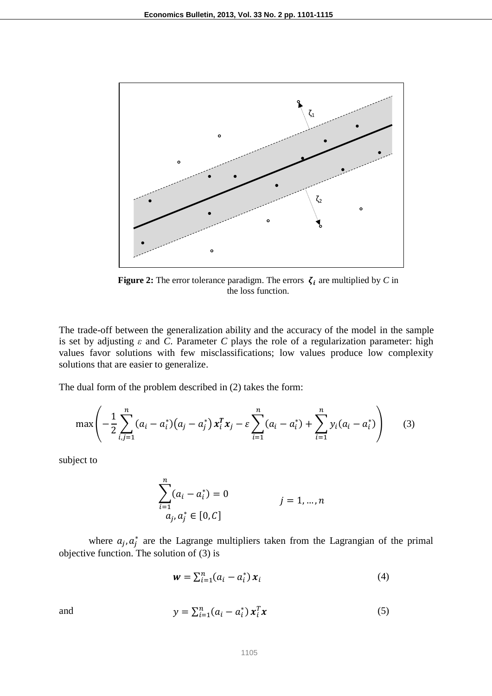

**Figure 2:** The error tolerance paradigm. The errors  $\zeta_i$  are multiplied by *C* in the loss function.

The trade-off between the generalization ability and the accuracy of the model in the sample is set by adjusting  $ε$  and  $C$ . Parameter  $C$  plays the role of a regularization parameter: high values favor solutions with few misclassifications; low values produce low complexity solutions that are easier to generalize.

The dual form of the problem described in (2) takes the form:

$$
\max\left(-\frac{1}{2}\sum_{i,j=1}^n (a_i - a_i^*)(a_j - a_j^*) x_i^T x_j - \varepsilon \sum_{i=1}^n (a_i - a_i^*) + \sum_{i=1}^n y_i(a_i - a_i^*)\right) \tag{3}
$$

subject to

$$
\sum_{i=1}^{n} (a_i - a_i^*) = 0
$$
  
\n $a_j, a_j^* \in [0, C]$   
\n $j = 1, ..., n$ 

where  $a_i, a_i^*$  are the Lagrange multipliers taken from the Lagrangian of the primal objective function. The solution of (3) is

$$
\mathbf{w} = \sum_{i=1}^{n} (a_i - a_i^*) \mathbf{x}_i \tag{4}
$$

and  $y = \sum_{i=1}^{n} (a_i - a_i^*)$  $T_i^T x$  (5)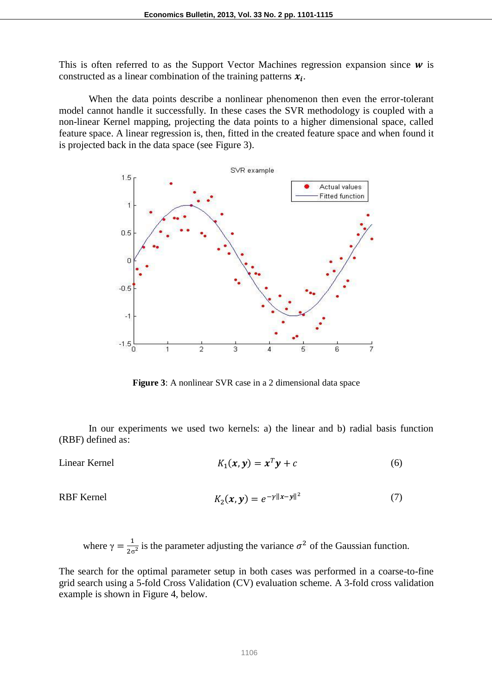This is often referred to as the Support Vector Machines regression expansion since  $\bf{w}$  is constructed as a linear combination of the training patterns  $x_i$ .

When the data points describe a nonlinear phenomenon then even the error-tolerant model cannot handle it successfully. In these cases the SVR methodology is coupled with a non-linear Kernel mapping, projecting the data points to a higher dimensional space, called feature space. A linear regression is, then, fitted in the created feature space and when found it is projected back in the data space (see Figure 3).



**Figure 3**: A nonlinear SVR case in a 2 dimensional data space

In our experiments we used two kernels: a) the linear and b) radial basis function (RBF) defined as:

Linear Kernel 
$$
K_1(x, y) = x^T y + c
$$
 (6)

RBF Kernel 
$$
K_2(x, y) = e^{-y||x-y||^2}
$$
 (7)

where  $\gamma = \frac{1}{2}$  $\frac{1}{2\sigma^2}$  is the parameter adjusting the variance  $\sigma^2$  of the Gaussian function.

The search for the optimal parameter setup in both cases was performed in a coarse-to-fine grid search using a 5-fold Cross Validation (CV) evaluation scheme. A 3-fold cross validation example is shown in Figure 4, below.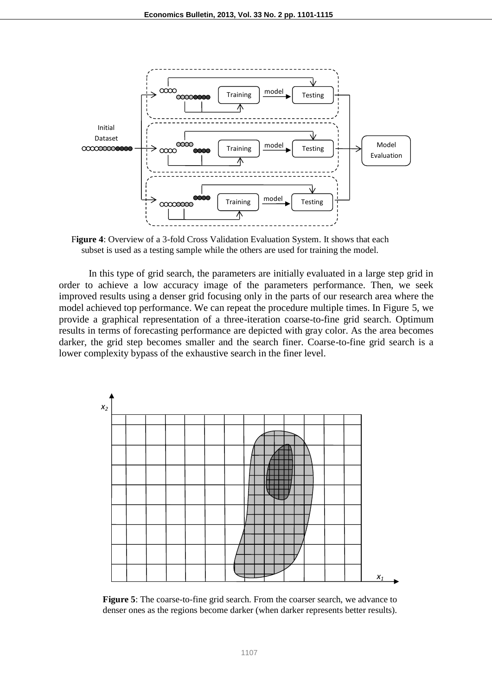

F**igure 4**: Overview of a 3-fold Cross Validation Evaluation System. It shows that each subset is used as a testing sample while the others are used for training the model.

In this type of grid search, the parameters are initially evaluated in a large step grid in order to achieve a low accuracy image of the parameters performance. Then, we seek improved results using a denser grid focusing only in the parts of our research area where the model achieved top performance. We can repeat the procedure multiple times. In Figure 5, we provide a graphical representation of a three-iteration coarse-to-fine grid search. Optimum results in terms of forecasting performance are depicted with gray color. As the area becomes darker, the grid step becomes smaller and the search finer. Coarse-to-fine grid search is a lower complexity bypass of the exhaustive search in the finer level.



**Figure 5**: The coarse-to-fine grid search. From the coarser search, we advance to denser ones as the regions become darker (when darker represents better results).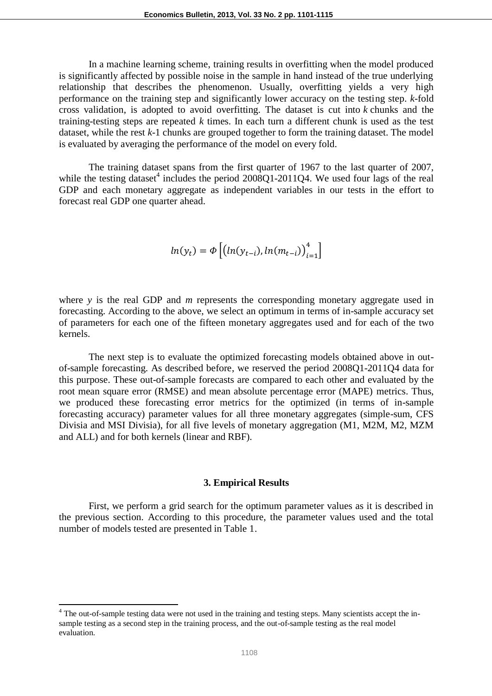In a machine learning scheme, training results in overfitting when the model produced is significantly affected by possible noise in the sample in hand instead of the true underlying relationship that describes the phenomenon. Usually, overfitting yields a very high performance on the training step and significantly lower accuracy on the testing step. *k*-fold cross validation, is adopted to avoid overfitting. The dataset is cut into *k* chunks and the training-testing steps are repeated *k* times. In each turn a different chunk is used as the test dataset, while the rest *k*-1 chunks are grouped together to form the training dataset. The model is evaluated by averaging the performance of the model on every fold.

The training dataset spans from the first quarter of 1967 to the last quarter of 2007, while the testing dataset<sup>4</sup> includes the period  $2008Q1-2011Q4$ . We used four lags of the real GDP and each monetary aggregate as independent variables in our tests in the effort to forecast real GDP one quarter ahead.

$$
ln(y_t) = \Phi\left[\left(ln(y_{t-i}), ln(m_{t-i})\right)_{i=1}^4\right]
$$

where *y* is the real GDP and *m* represents the corresponding monetary aggregate used in forecasting. According to the above, we select an optimum in terms of in-sample accuracy set of parameters for each one of the fifteen monetary aggregates used and for each of the two kernels.

The next step is to evaluate the optimized forecasting models obtained above in outof-sample forecasting. As described before, we reserved the period 2008Q1-2011Q4 data for this purpose. These out-of-sample forecasts are compared to each other and evaluated by the root mean square error (RMSE) and mean absolute percentage error (MAPE) metrics. Thus, we produced these forecasting error metrics for the optimized (in terms of in-sample forecasting accuracy) parameter values for all three monetary aggregates (simple-sum, CFS Divisia and MSI Divisia), for all five levels of monetary aggregation (M1, M2M, M2, MZM and ALL) and for both kernels (linear and RBF).

### **3. Empirical Results**

First, we perform a grid search for the optimum parameter values as it is described in the previous section. According to this procedure, the parameter values used and the total number of models tested are presented in Table 1.

 $\overline{a}$ 

<sup>&</sup>lt;sup>4</sup> The out-of-sample testing data were not used in the training and testing steps. Many scientists accept the insample testing as a second step in the training process, and the out-of-sample testing as the real model evaluation.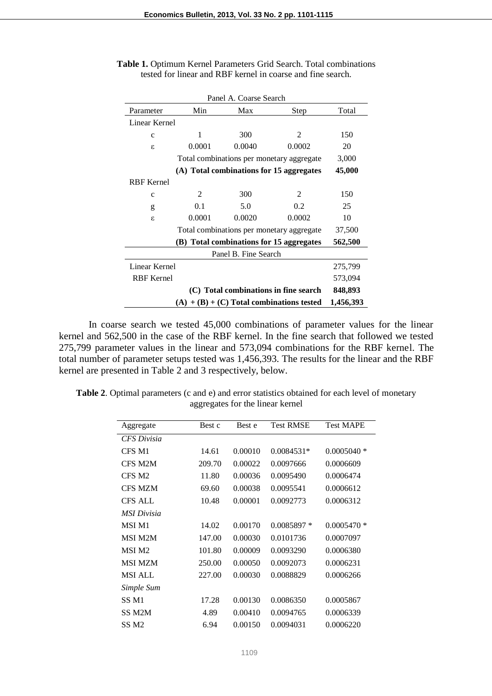| Panel A. Coarse Search |               |        |                                           |         |  |  |  |  |
|------------------------|---------------|--------|-------------------------------------------|---------|--|--|--|--|
| Parameter              | Min           | Total  |                                           |         |  |  |  |  |
|                        | Linear Kernel |        |                                           |         |  |  |  |  |
| $\mathbf{C}$           | 1             | 300    | 2                                         | 150     |  |  |  |  |
| ε                      | 0.0001        | 0.0040 | 0.0002                                    | 20      |  |  |  |  |
|                        |               |        | Total combinations per monetary aggregate | 3,000   |  |  |  |  |
|                        |               |        | (A) Total combinations for 15 aggregates  | 45,000  |  |  |  |  |
| <b>RBF</b> Kernel      |               |        |                                           |         |  |  |  |  |
| $\mathbf{C}$           | 2             | 300    | $\mathfrak{D}$                            | 150     |  |  |  |  |
| g                      | 0.1           | 5.0    | 0.2                                       | 25      |  |  |  |  |
| $\epsilon$             | 0.0001        | 0.0020 | 0.0002                                    | 10      |  |  |  |  |
|                        | 37,500        |        |                                           |         |  |  |  |  |
|                        | 562,500       |        |                                           |         |  |  |  |  |
| Panel B. Fine Search   |               |        |                                           |         |  |  |  |  |
| Linear Kernel          | 275,799       |        |                                           |         |  |  |  |  |
| <b>RBF</b> Kernel      |               |        |                                           | 573,094 |  |  |  |  |
|                        | 848,893       |        |                                           |         |  |  |  |  |
|                        | 1,456,393     |        |                                           |         |  |  |  |  |

|  |                                                             |  | Table 1. Optimum Kernel Parameters Grid Search. Total combinations |
|--|-------------------------------------------------------------|--|--------------------------------------------------------------------|
|  | tested for linear and RBF kernel in coarse and fine search. |  |                                                                    |

In coarse search we tested 45,000 combinations of parameter values for the linear kernel and 562,500 in the case of the RBF kernel. In the fine search that followed we tested 275,799 parameter values in the linear and 573,094 combinations for the RBF kernel. The total number of parameter setups tested was 1,456,393. The results for the linear and the RBF kernel are presented in Table 2 and 3 respectively, below.

**Table 2**. Optimal parameters (c and e) and error statistics obtained for each level of monetary aggregates for the linear kernel

| Aggregate          | Best c | Best e  | <b>Test RMSE</b> | <b>Test MAPE</b> |
|--------------------|--------|---------|------------------|------------------|
| <b>CFS</b> Divisia |        |         |                  |                  |
| CFS M1             | 14.61  | 0.00010 | $0.0084531*$     | $0.0005040*$     |
| CFS M2M            | 209.70 | 0.00022 | 0.0097666        | 0.0006609        |
| CFS M <sub>2</sub> | 11.80  | 0.00036 | 0.0095490        | 0.0006474        |
| <b>CFS MZM</b>     | 69.60  | 0.00038 | 0.0095541        | 0.0006612        |
| <b>CFS ALL</b>     | 10.48  | 0.00001 | 0.0092773        | 0.0006312        |
| MSI Divisia        |        |         |                  |                  |
| MSI M1             | 14.02  | 0.00170 | $0.0085897*$     | $0.0005470*$     |
| <b>MSI M2M</b>     | 147.00 | 0.00030 | 0.0101736        | 0.0007097        |
| MSI M <sub>2</sub> | 101.80 | 0.00009 | 0.0093290        | 0.0006380        |
| <b>MSI MZM</b>     | 250.00 | 0.00050 | 0.0092073        | 0.0006231        |
| <b>MSI ALL</b>     | 227.00 | 0.00030 | 0.0088829        | 0.0006266        |
| Simple Sum         |        |         |                  |                  |
| SS M1              | 17.28  | 0.00130 | 0.0086350        | 0.0005867        |
| SS M2M             | 4.89   | 0.00410 | 0.0094765        | 0.0006339        |
| SS <sub>M2</sub>   | 6.94   | 0.00150 | 0.0094031        | 0.0006220        |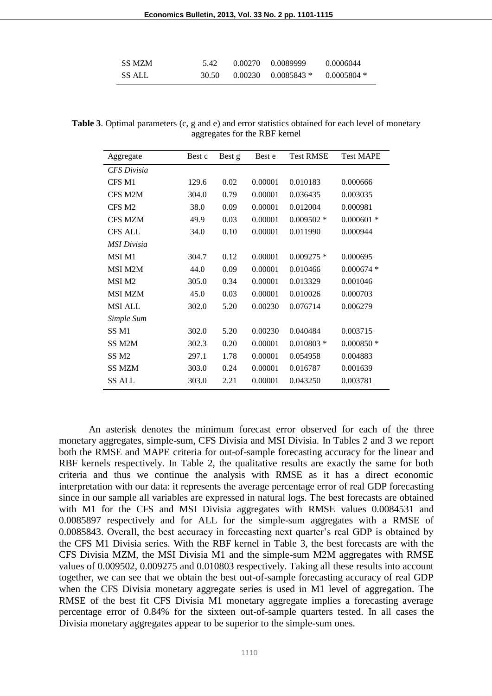| <b>SS MZM</b> | 5.42  | 0.00270 0.0089999      | 0.0006044   |
|---------------|-------|------------------------|-------------|
| <b>SS ALL</b> | 30.50 | $0.00230$ $0.0085843*$ | 0.0005804 * |

Table 3. Optimal parameters (c, g and e) and error statistics obtained for each level of monetary aggregates for the RBF kernel

| Aggregate          | Best c | Best g | Best e  | <b>Test RMSE</b> | <b>Test MAPE</b> |
|--------------------|--------|--------|---------|------------------|------------------|
| <b>CFS</b> Divisia |        |        |         |                  |                  |
| CFS M1             | 129.6  | 0.02   | 0.00001 | 0.010183         | 0.000666         |
| CFS M2M            | 304.0  | 0.79   | 0.00001 | 0.036435         | 0.003035         |
| CFS M <sub>2</sub> | 38.0   | 0.09   | 0.00001 | 0.012004         | 0.000981         |
| <b>CFS MZM</b>     | 49.9   | 0.03   | 0.00001 | $0.009502$ *     | $0.000601$ *     |
| <b>CFS ALL</b>     | 34.0   | 0.10   | 0.00001 | 0.011990         | 0.000944         |
| <b>MSI</b> Divisia |        |        |         |                  |                  |
| MSI M1             | 304.7  | 0.12   | 0.00001 | $0.009275*$      | 0.000695         |
| <b>MSI M2M</b>     | 44.0   | 0.09   | 0.00001 | 0.010466         | $0.000674$ *     |
| MSI M <sub>2</sub> | 305.0  | 0.34   | 0.00001 | 0.013329         | 0.001046         |
| <b>MSI MZM</b>     | 45.0   | 0.03   | 0.00001 | 0.010026         | 0.000703         |
| <b>MSI ALL</b>     | 302.0  | 5.20   | 0.00230 | 0.076714         | 0.006279         |
| Simple Sum         |        |        |         |                  |                  |
| SS <sub>M1</sub>   | 302.0  | 5.20   | 0.00230 | 0.040484         | 0.003715         |
| SS <sub>M2M</sub>  | 302.3  | 0.20   | 0.00001 | $0.010803$ *     | $0.000850*$      |
| SS <sub>M2</sub>   | 297.1  | 1.78   | 0.00001 | 0.054958         | 0.004883         |
| <b>SS MZM</b>      | 303.0  | 0.24   | 0.00001 | 0.016787         | 0.001639         |
| <b>SS ALL</b>      | 303.0  | 2.21   | 0.00001 | 0.043250         | 0.003781         |
|                    |        |        |         |                  |                  |

An asterisk denotes the minimum forecast error observed for each of the three monetary aggregates, simple-sum, CFS Divisia and MSI Divisia. In Tables 2 and 3 we report both the RMSE and MAPE criteria for out-of-sample forecasting accuracy for the linear and RBF kernels respectively. In Table 2, the qualitative results are exactly the same for both criteria and thus we continue the analysis with RMSE as it has a direct economic interpretation with our data: it represents the average percentage error of real GDP forecasting since in our sample all variables are expressed in natural logs. The best forecasts are obtained with M1 for the CFS and MSI Divisia aggregates with RMSE values 0.0084531 and 0.0085897 respectively and for ALL for the simple-sum aggregates with a RMSE of 0.0085843. Overall, the best accuracy in forecasting next quarter's real GDP is obtained by the CFS M1 Divisia series. With the RBF kernel in Table 3, the best forecasts are with the CFS Divisia MZM, the MSI Divisia M1 and the simple-sum M2M aggregates with RMSE values of 0.009502, 0.009275 and 0.010803 respectively. Taking all these results into account together, we can see that we obtain the best out-of-sample forecasting accuracy of real GDP when the CFS Divisia monetary aggregate series is used in M1 level of aggregation. The RMSE of the best fit CFS Divisia M1 monetary aggregate implies a forecasting average percentage error of 0.84% for the sixteen out-of-sample quarters tested. In all cases the Divisia monetary aggregates appear to be superior to the simple-sum ones.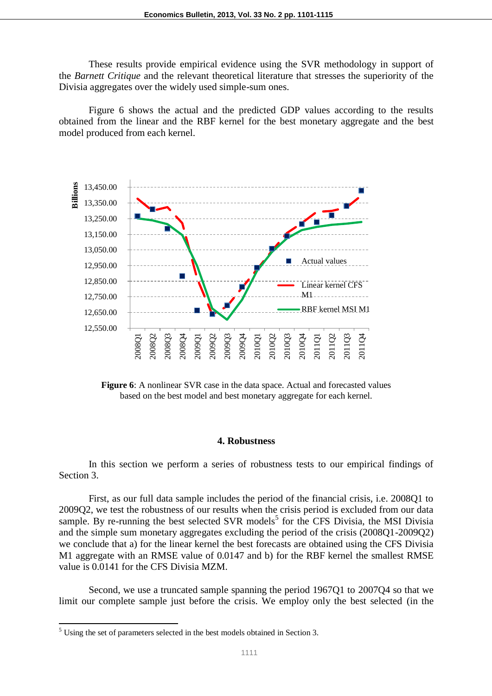These results provide empirical evidence using the SVR methodology in support of the *Barnett Critique* and the relevant theoretical literature that stresses the superiority of the Divisia aggregates over the widely used simple-sum ones.

Figure 6 shows the actual and the predicted GDP values according to the results obtained from the linear and the RBF kernel for the best monetary aggregate and the best model produced from each kernel.



**Figure 6**: A nonlinear SVR case in the data space. Actual and forecasted values based on the best model and best monetary aggregate for each kernel.

#### **4. Robustness**

In this section we perform a series of robustness tests to our empirical findings of Section 3.

First, as our full data sample includes the period of the financial crisis, i.e. 2008Q1 to 2009Q2, we test the robustness of our results when the crisis period is excluded from our data sample. By re-running the best selected SVR models<sup>5</sup> for the CFS Divisia, the MSI Divisia and the simple sum monetary aggregates excluding the period of the crisis (2008Q1-2009Q2) we conclude that a) for the linear kernel the best forecasts are obtained using the CFS Divisia M1 aggregate with an RMSE value of 0.0147 and b) for the RBF kernel the smallest RMSE value is 0.0141 for the CFS Divisia MZM.

Second, we use a truncated sample spanning the period 1967Q1 to 2007Q4 so that we limit our complete sample just before the crisis. We employ only the best selected (in the

l

<sup>5</sup> Using the set of parameters selected in the best models obtained in Section 3.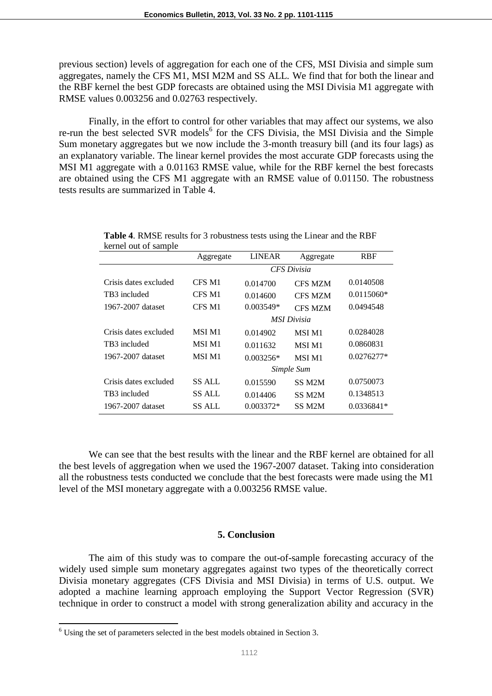previous section) levels of aggregation for each one of the CFS, MSI Divisia and simple sum aggregates, namely the CFS M1, MSI M2M and SS ALL. We find that for both the linear and the RBF kernel the best GDP forecasts are obtained using the MSI Divisia M1 aggregate with RMSE values 0.003256 and 0.02763 respectively.

Finally, in the effort to control for other variables that may affect our systems, we also re-run the best selected SVR models<sup>6</sup> for the CFS Divisia, the MSI Divisia and the Simple Sum monetary aggregates but we now include the 3-month treasury bill (and its four lags) as an explanatory variable. The linear kernel provides the most accurate GDP forecasts using the MSI M1 aggregate with a 0.01163 RMSE value, while for the RBF kernel the best forecasts are obtained using the CFS M1 aggregate with an RMSE value of 0.01150. The robustness tests results are summarized in Table 4.

|                       | Aggregate          | <b>LINEAR</b> | Aggregate          | <b>RBF</b>   |  |
|-----------------------|--------------------|---------------|--------------------|--------------|--|
|                       | <b>CFS</b> Divisia |               |                    |              |  |
| Crisis dates excluded | CFS M1             | 0.014700      | <b>CFS MZM</b>     | 0.0140508    |  |
| TB3 included          | CFS M1             | 0.014600      | <b>CFS MZM</b>     | 0.0115060*   |  |
| 1967-2007 dataset     | CFS M1             | $0.003549*$   | <b>CFS MZM</b>     | 0.0494548    |  |
|                       |                    |               | <b>MSI Divisia</b> |              |  |
| Crisis dates excluded | MSI M1             | 0.014902      | <b>MSI M1</b>      | 0.0284028    |  |
| TB3 included          | MSI M1             | 0.011632      | MSI M1             | 0.0860831    |  |
| 1967-2007 dataset     | MSI M1             | $0.003256*$   | <b>MSI M1</b>      | $0.0276277*$ |  |
|                       |                    |               | Simple Sum         |              |  |
| Crisis dates excluded | SS ALL             | 0.015590      | SS M2M             | 0.0750073    |  |
| TB3 included          | SS ALL             | 0.014406      | SS M2M             | 0.1348513    |  |
| 1967-2007 dataset     | SS ALL             | 0.003372*     | SS <sub>M2M</sub>  | $0.0336841*$ |  |

| <b>Table 4.</b> RMSE results for 3 robustness tests using the Linear and the RBF |  |
|----------------------------------------------------------------------------------|--|
| kernel out of sample                                                             |  |

We can see that the best results with the linear and the RBF kernel are obtained for all the best levels of aggregation when we used the 1967-2007 dataset. Taking into consideration all the robustness tests conducted we conclude that the best forecasts were made using the M1 level of the MSI monetary aggregate with a 0.003256 RMSE value.

#### **5. Conclusion**

The aim of this study was to compare the out-of-sample forecasting accuracy of the widely used simple sum monetary aggregates against two types of the theoretically correct Divisia monetary aggregates (CFS Divisia and MSI Divisia) in terms of U.S. output. We adopted a machine learning approach employing the Support Vector Regression (SVR) technique in order to construct a model with strong generalization ability and accuracy in the

l

 $6$  Using the set of parameters selected in the best models obtained in Section 3.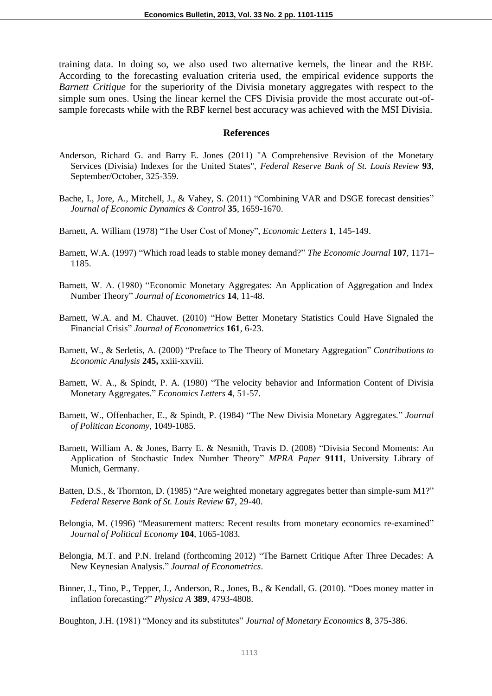training data. In doing so, we also used two alternative kernels, the linear and the RBF. According to the forecasting evaluation criteria used, the empirical evidence supports the *Barnett Critique* for the superiority of the Divisia monetary aggregates with respect to the simple sum ones. Using the linear kernel the CFS Divisia provide the most accurate out-ofsample forecasts while with the RBF kernel best accuracy was achieved with the MSI Divisia.

### **References**

- Anderson, Richard G. and Barry E. Jones (2011) "A Comprehensive Revision of the Monetary Services (Divisia) Indexes for the United States", *Federal Reserve Bank of St. Louis Review* **93**, September/October, 325-359.
- Bache, I., Jore, A., Mitchell, J., & Vahey, S. (2011) "Combining VAR and DSGE forecast densities" *Journal of Economic Dynamics & Control* **35**, 1659-1670.
- Barnett, A. William (1978) "The User Cost of Money", *Economic Letters* **1**, 145-149.
- Barnett, W.A. (1997) "Which road leads to stable money demand?" *The Economic Journal* **107**, 1171– 1185.
- Barnett, W. A. (1980) "Economic Monetary Aggregates: An Application of Aggregation and Index Number Theory" *Journal of Econometrics* **14**, 11-48.
- Barnett, W.A. and M. Chauvet. (2010) "How Better Monetary Statistics Could Have Signaled the Financial Crisis" *Journal of Econometrics* **161**, 6-23.
- Barnett, W., & Serletis, A. (2000) "Preface to The Theory of Monetary Aggregation" *Contributions to Economic Analysis* **245,** xxiii-xxviii.
- Barnett, W. A., & Spindt, P. A. (1980) "The velocity behavior and Information Content of Divisia Monetary Aggregates." *Economics Letters* **4**, 51-57.
- Barnett, W., Offenbacher, E., & Spindt, P. (1984) "The New Divisia Monetary Aggregates." *Journal of Politican Economy*, 1049-1085.
- Barnett, William A. & Jones, Barry E. & Nesmith, Travis D. (2008) "Divisia Second Moments: An Application of Stochastic Index Number Theory" *MPRA Paper* **9111**, University Library of Munich, Germany.
- Batten, D.S., & Thornton, D. (1985) "Are weighted monetary aggregates better than simple-sum M1?" *Federal Reserve Bank of St. Louis Review* **67**, 29-40.
- Belongia, M. (1996) "Measurement matters: Recent results from monetary economics re-examined" *Journal of Political Economy* **104**, 1065-1083.
- Belongia, M.T. and P.N. Ireland (forthcoming 2012) "The Barnett Critique After Three Decades: A New Keynesian Analysis." *Journal of Econometrics*.
- Binner, J., Tino, P., Tepper, J., Anderson, R., Jones, B., & Kendall, G. (2010). "Does money matter in inflation forecasting?" *Physica A* **389**, 4793-4808.

Boughton, J.H. (1981) "Money and its substitutes" *Journal of Monetary Economics* **8**, 375-386.